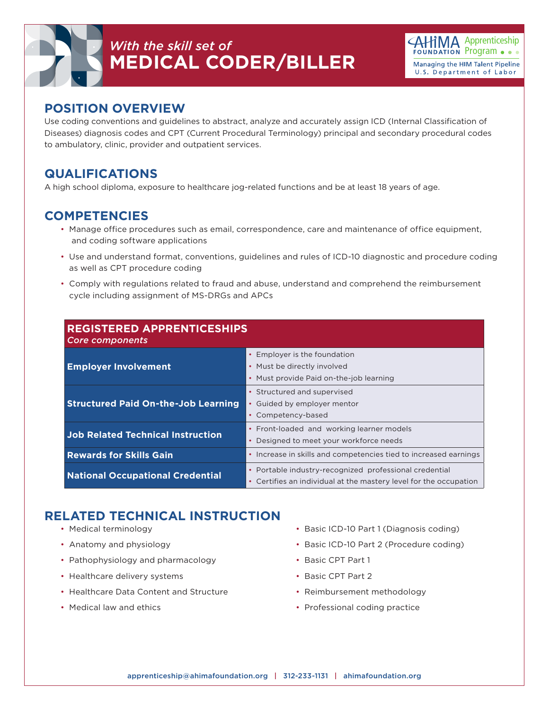

## *With the skill set of* **MEDICAL CODER/BILLER**



#### **POSITION OVERVIEW**

Use coding conventions and guidelines to abstract, analyze and accurately assign ICD (Internal Classification of Diseases) diagnosis codes and CPT (Current Procedural Terminology) principal and secondary procedural codes to ambulatory, clinic, provider and outpatient services.

#### **QUALIFICATIONS**

A high school diploma, exposure to healthcare jog-related functions and be at least 18 years of age.

#### **COMPETENCIES**

- Manage office procedures such as email, correspondence, care and maintenance of office equipment, and coding software applications
- Use and understand format, conventions, guidelines and rules of ICD-10 diagnostic and procedure coding as well as CPT procedure coding
- Comply with regulations related to fraud and abuse, understand and comprehend the reimbursement cycle including assignment of MS-DRGs and APCs

| <b>REGISTERED APPRENTICESHIPS</b><br><b>Core components</b> |                                                                                                                                      |
|-------------------------------------------------------------|--------------------------------------------------------------------------------------------------------------------------------------|
| <b>Employer Involvement</b>                                 | Employer is the foundation<br>• Must be directly involved<br>Must provide Paid on-the-job learning                                   |
| <b>Structured Paid On-the-Job Learning</b>                  | • Structured and supervised<br>Guided by employer mentor<br>• Competency-based                                                       |
| <b>Job Related Technical Instruction</b>                    | • Front-loaded and working learner models<br>Designed to meet your workforce needs                                                   |
| <b>Rewards for Skills Gain</b>                              | Increase in skills and competencies tied to increased earnings<br>$\bullet$                                                          |
| <b>National Occupational Credential</b>                     | Portable industry-recognized professional credential<br>$\bullet$<br>Certifies an individual at the mastery level for the occupation |

### **RELATED TECHNICAL INSTRUCTION**

- Medical terminology
- Anatomy and physiology
- Pathophysiology and pharmacology
- Healthcare delivery systems
- Healthcare Data Content and Structure
- Medical law and ethics
- Basic ICD-10 Part 1 (Diagnosis coding)
- Basic ICD-10 Part 2 (Procedure coding)
- Basic CPT Part 1
- Basic CPT Part 2
- Reimbursement methodology
- Professional coding practice